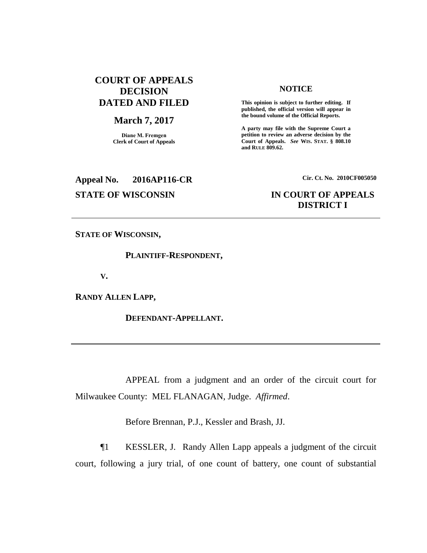### **COURT OF APPEALS DECISION DATED AND FILED**

#### **March 7, 2017**

**Diane M. Fremgen Clerk of Court of Appeals**

#### **NOTICE**

**This opinion is subject to further editing. If published, the official version will appear in the bound volume of the Official Reports.** 

**A party may file with the Supreme Court a petition to review an adverse decision by the Court of Appeals.** *See* **WIS. STAT. § 808.10 and RULE 809.62.** 

**Appeal No. 2016AP116-CR Cir. Ct. No. 2010CF005050**

### **STATE OF WISCONSIN IN COURT OF APPEALS DISTRICT I**

**STATE OF WISCONSIN,**

**PLAINTIFF-RESPONDENT,**

**V.**

**RANDY ALLEN LAPP,**

**DEFENDANT-APPELLANT.**

APPEAL from a judgment and an order of the circuit court for Milwaukee County: MEL FLANAGAN, Judge. *Affirmed*.

Before Brennan, P.J., Kessler and Brash, JJ.

¶1 KESSLER, J. Randy Allen Lapp appeals a judgment of the circuit court, following a jury trial, of one count of battery, one count of substantial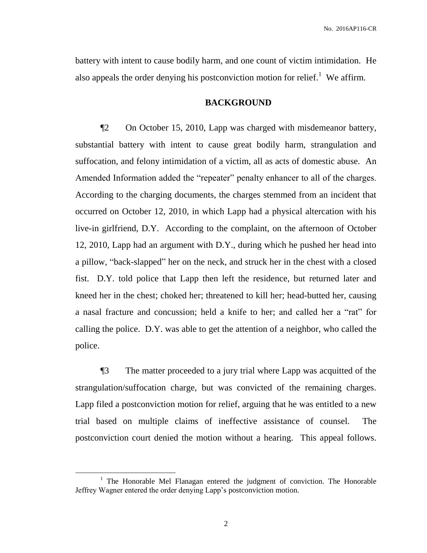battery with intent to cause bodily harm, and one count of victim intimidation. He also appeals the order denying his postconviction motion for relief.<sup>1</sup> We affirm.

### **BACKGROUND**

¶2 On October 15, 2010, Lapp was charged with misdemeanor battery, substantial battery with intent to cause great bodily harm, strangulation and suffocation, and felony intimidation of a victim, all as acts of domestic abuse. An Amended Information added the "repeater" penalty enhancer to all of the charges. According to the charging documents, the charges stemmed from an incident that occurred on October 12, 2010, in which Lapp had a physical altercation with his live-in girlfriend, D.Y. According to the complaint, on the afternoon of October 12, 2010, Lapp had an argument with D.Y., during which he pushed her head into a pillow, "back-slapped" her on the neck, and struck her in the chest with a closed fist. D.Y. told police that Lapp then left the residence, but returned later and kneed her in the chest; choked her; threatened to kill her; head-butted her, causing a nasal fracture and concussion; held a knife to her; and called her a "rat" for calling the police. D.Y. was able to get the attention of a neighbor, who called the police.

¶3 The matter proceeded to a jury trial where Lapp was acquitted of the strangulation/suffocation charge, but was convicted of the remaining charges. Lapp filed a postconviction motion for relief, arguing that he was entitled to a new trial based on multiple claims of ineffective assistance of counsel. The postconviction court denied the motion without a hearing. This appeal follows.

 $\overline{a}$ 

<sup>&</sup>lt;sup>1</sup> The Honorable Mel Flanagan entered the judgment of conviction. The Honorable Jeffrey Wagner entered the order denying Lapp's postconviction motion.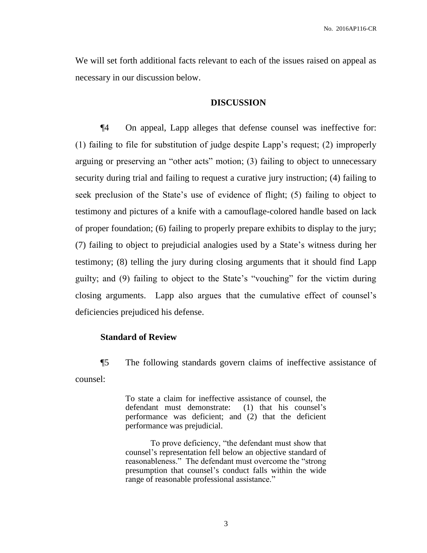We will set forth additional facts relevant to each of the issues raised on appeal as necessary in our discussion below.

#### **DISCUSSION**

¶4 On appeal, Lapp alleges that defense counsel was ineffective for: (1) failing to file for substitution of judge despite Lapp's request; (2) improperly arguing or preserving an "other acts" motion; (3) failing to object to unnecessary security during trial and failing to request a curative jury instruction; (4) failing to seek preclusion of the State's use of evidence of flight; (5) failing to object to testimony and pictures of a knife with a camouflage-colored handle based on lack of proper foundation; (6) failing to properly prepare exhibits to display to the jury; (7) failing to object to prejudicial analogies used by a State's witness during her testimony; (8) telling the jury during closing arguments that it should find Lapp guilty; and (9) failing to object to the State's "vouching" for the victim during closing arguments. Lapp also argues that the cumulative effect of counsel's deficiencies prejudiced his defense.

### **Standard of Review**

¶5 The following standards govern claims of ineffective assistance of counsel:

> To state a claim for ineffective assistance of counsel, the defendant must demonstrate: (1) that his counsel's performance was deficient; and (2) that the deficient performance was prejudicial.

> To prove deficiency, "the defendant must show that counsel's representation fell below an objective standard of reasonableness." The defendant must overcome the "strong presumption that counsel's conduct falls within the wide range of reasonable professional assistance."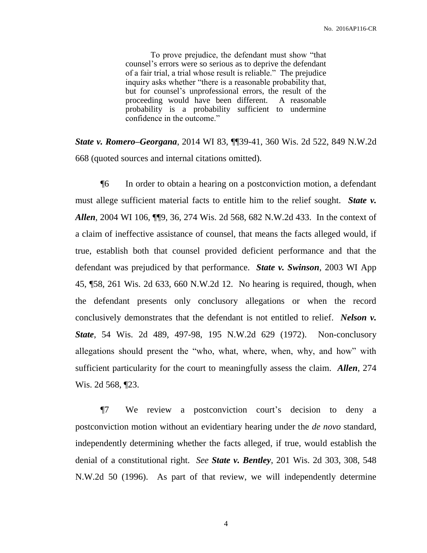To prove prejudice, the defendant must show "that counsel's errors were so serious as to deprive the defendant of a fair trial, a trial whose result is reliable." The prejudice inquiry asks whether "there is a reasonable probability that, but for counsel's unprofessional errors, the result of the proceeding would have been different. A reasonable probability is a probability sufficient to undermine confidence in the outcome."

*State v. Romero–Georgana*, 2014 WI 83, ¶¶39-41, 360 Wis. 2d 522, 849 N.W.2d 668 (quoted sources and internal citations omitted).

¶6 In order to obtain a hearing on a postconviction motion, a defendant must allege sufficient material facts to entitle him to the relief sought. *State v. Allen*, 2004 WI 106, ¶¶9, 36, 274 Wis. 2d 568, 682 N.W.2d 433. In the context of a claim of ineffective assistance of counsel, that means the facts alleged would, if true, establish both that counsel provided deficient performance and that the defendant was prejudiced by that performance. *State v. Swinson*, 2003 WI App 45, ¶58, 261 Wis. 2d 633, 660 N.W.2d 12. No hearing is required, though, when the defendant presents only conclusory allegations or when the record conclusively demonstrates that the defendant is not entitled to relief. *Nelson v. State*, 54 Wis. 2d 489, 497-98, 195 N.W.2d 629 (1972). Non-conclusory allegations should present the "who, what, where, when, why, and how" with sufficient particularity for the court to meaningfully assess the claim. *Allen*, 274 Wis. 2d 568, ¶23.

¶7 We review a postconviction court's decision to deny a postconviction motion without an evidentiary hearing under the *de novo* standard, independently determining whether the facts alleged, if true, would establish the denial of a constitutional right. *See State v. Bentley*, 201 Wis. 2d 303, 308, 548 N.W.2d 50 (1996). As part of that review, we will independently determine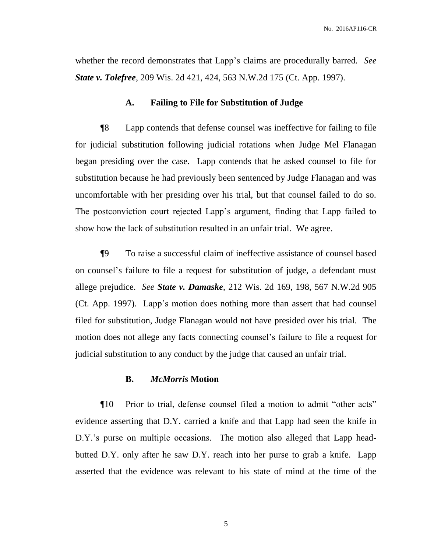No. 2016AP116-CR

whether the record demonstrates that Lapp's claims are procedurally barred*. See State v. Tolefree*, 209 Wis. 2d 421, 424, 563 N.W.2d 175 (Ct. App. 1997).

#### **A. Failing to File for Substitution of Judge**

¶8 Lapp contends that defense counsel was ineffective for failing to file for judicial substitution following judicial rotations when Judge Mel Flanagan began presiding over the case. Lapp contends that he asked counsel to file for substitution because he had previously been sentenced by Judge Flanagan and was uncomfortable with her presiding over his trial, but that counsel failed to do so. The postconviction court rejected Lapp's argument, finding that Lapp failed to show how the lack of substitution resulted in an unfair trial. We agree.

¶9 To raise a successful claim of ineffective assistance of counsel based on counsel's failure to file a request for substitution of judge, a defendant must allege prejudice. *See State v. Damaske*, 212 Wis. 2d 169, 198, 567 N.W.2d 905 (Ct. App. 1997). Lapp's motion does nothing more than assert that had counsel filed for substitution, Judge Flanagan would not have presided over his trial. The motion does not allege any facts connecting counsel's failure to file a request for judicial substitution to any conduct by the judge that caused an unfair trial.

#### **B.** *McMorris* **Motion**

¶10 Prior to trial, defense counsel filed a motion to admit "other acts" evidence asserting that D.Y. carried a knife and that Lapp had seen the knife in D.Y.'s purse on multiple occasions. The motion also alleged that Lapp headbutted D.Y. only after he saw D.Y. reach into her purse to grab a knife. Lapp asserted that the evidence was relevant to his state of mind at the time of the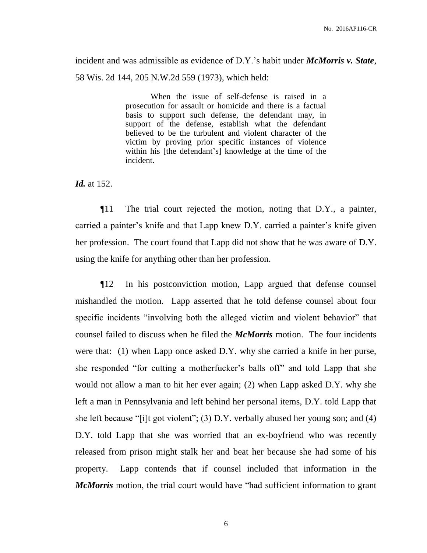incident and was admissible as evidence of D.Y.'s habit under *McMorris v. State*, 58 Wis. 2d 144, 205 N.W.2d 559 (1973), which held:

> When the issue of self-defense is raised in a prosecution for assault or homicide and there is a factual basis to support such defense, the defendant may, in support of the defense, establish what the defendant believed to be the turbulent and violent character of the victim by proving prior specific instances of violence within his [the defendant's] knowledge at the time of the incident.

*Id.* at 152.

¶11 The trial court rejected the motion, noting that D.Y., a painter, carried a painter's knife and that Lapp knew D.Y. carried a painter's knife given her profession. The court found that Lapp did not show that he was aware of D.Y. using the knife for anything other than her profession.

¶12 In his postconviction motion, Lapp argued that defense counsel mishandled the motion. Lapp asserted that he told defense counsel about four specific incidents "involving both the alleged victim and violent behavior" that counsel failed to discuss when he filed the *McMorris* motion. The four incidents were that: (1) when Lapp once asked D.Y. why she carried a knife in her purse, she responded "for cutting a motherfucker's balls off" and told Lapp that she would not allow a man to hit her ever again; (2) when Lapp asked D.Y. why she left a man in Pennsylvania and left behind her personal items, D.Y. told Lapp that she left because "[i]t got violent"; (3) D.Y. verbally abused her young son; and (4) D.Y. told Lapp that she was worried that an ex-boyfriend who was recently released from prison might stalk her and beat her because she had some of his property. Lapp contends that if counsel included that information in the *McMorris* motion, the trial court would have "had sufficient information to grant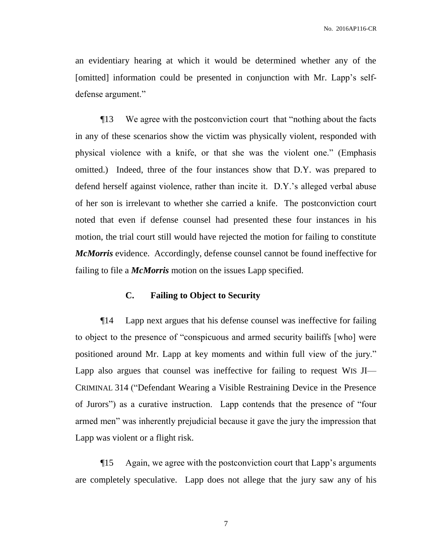an evidentiary hearing at which it would be determined whether any of the [omitted] information could be presented in conjunction with Mr. Lapp's selfdefense argument."

¶13 We agree with the postconviction court that "nothing about the facts in any of these scenarios show the victim was physically violent, responded with physical violence with a knife, or that she was the violent one." (Emphasis omitted.) Indeed, three of the four instances show that D.Y. was prepared to defend herself against violence, rather than incite it. D.Y.'s alleged verbal abuse of her son is irrelevant to whether she carried a knife. The postconviction court noted that even if defense counsel had presented these four instances in his motion, the trial court still would have rejected the motion for failing to constitute *McMorris* evidence. Accordingly, defense counsel cannot be found ineffective for failing to file a *McMorris* motion on the issues Lapp specified.

### **C. Failing to Object to Security**

¶14 Lapp next argues that his defense counsel was ineffective for failing to object to the presence of "conspicuous and armed security bailiffs [who] were positioned around Mr. Lapp at key moments and within full view of the jury." Lapp also argues that counsel was ineffective for failing to request WIS JI— CRIMINAL 314 ("Defendant Wearing a Visible Restraining Device in the Presence of Jurors") as a curative instruction. Lapp contends that the presence of "four armed men" was inherently prejudicial because it gave the jury the impression that Lapp was violent or a flight risk.

¶15 Again, we agree with the postconviction court that Lapp's arguments are completely speculative. Lapp does not allege that the jury saw any of his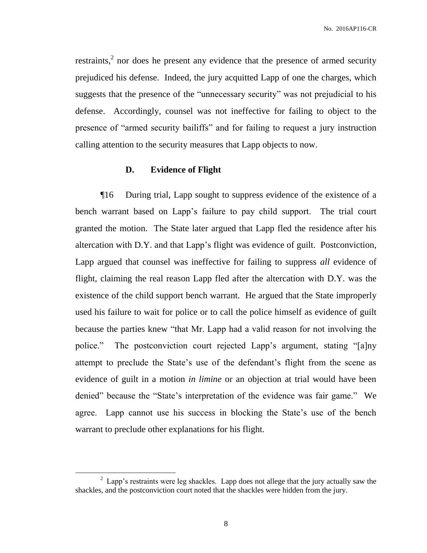No. 2016AP116-CR

restraints, $2$  nor does he present any evidence that the presence of armed security prejudiced his defense. Indeed, the jury acquitted Lapp of one the charges, which suggests that the presence of the "unnecessary security" was not prejudicial to his defense. Accordingly, counsel was not ineffective for failing to object to the presence of "armed security bailiffs" and for failing to request a jury instruction calling attention to the security measures that Lapp objects to now.

### **D. Evidence of Flight**

¶16 During trial, Lapp sought to suppress evidence of the existence of a bench warrant based on Lapp's failure to pay child support. The trial court granted the motion. The State later argued that Lapp fled the residence after his altercation with D.Y. and that Lapp's flight was evidence of guilt. Postconviction, Lapp argued that counsel was ineffective for failing to suppress *all* evidence of flight, claiming the real reason Lapp fled after the altercation with D.Y. was the existence of the child support bench warrant. He argued that the State improperly used his failure to wait for police or to call the police himself as evidence of guilt because the parties knew "that Mr. Lapp had a valid reason for not involving the police." The postconviction court rejected Lapp's argument, stating "[a]ny attempt to preclude the State's use of the defendant's flight from the scene as evidence of guilt in a motion *in limine* or an objection at trial would have been denied" because the "State's interpretation of the evidence was fair game." We agree. Lapp cannot use his success in blocking the State's use of the bench warrant to preclude other explanations for his flight.

 $\overline{a}$ 

 $2$  Lapp's restraints were leg shackles. Lapp does not allege that the jury actually saw the shackles, and the postconviction court noted that the shackles were hidden from the jury.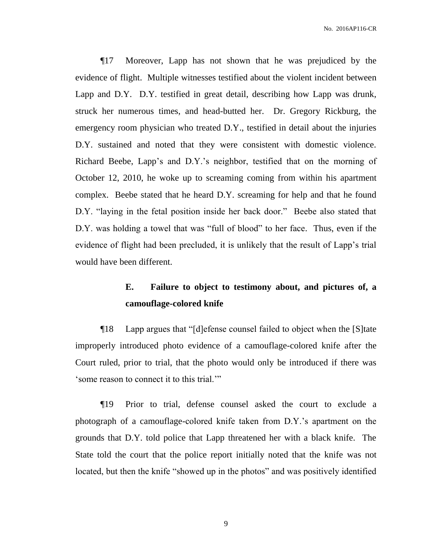¶17 Moreover, Lapp has not shown that he was prejudiced by the evidence of flight. Multiple witnesses testified about the violent incident between Lapp and D.Y. D.Y. testified in great detail, describing how Lapp was drunk, struck her numerous times, and head-butted her. Dr. Gregory Rickburg, the emergency room physician who treated D.Y., testified in detail about the injuries D.Y. sustained and noted that they were consistent with domestic violence. Richard Beebe, Lapp's and D.Y.'s neighbor, testified that on the morning of October 12, 2010, he woke up to screaming coming from within his apartment complex. Beebe stated that he heard D.Y. screaming for help and that he found D.Y. "laying in the fetal position inside her back door." Beebe also stated that D.Y. was holding a towel that was "full of blood" to her face. Thus, even if the evidence of flight had been precluded, it is unlikely that the result of Lapp's trial would have been different.

# **E. Failure to object to testimony about, and pictures of, a camouflage-colored knife**

¶18 Lapp argues that "[d]efense counsel failed to object when the [S]tate improperly introduced photo evidence of a camouflage-colored knife after the Court ruled, prior to trial, that the photo would only be introduced if there was 'some reason to connect it to this trial.'"

¶19 Prior to trial, defense counsel asked the court to exclude a photograph of a camouflage-colored knife taken from D.Y.'s apartment on the grounds that D.Y. told police that Lapp threatened her with a black knife. The State told the court that the police report initially noted that the knife was not located, but then the knife "showed up in the photos" and was positively identified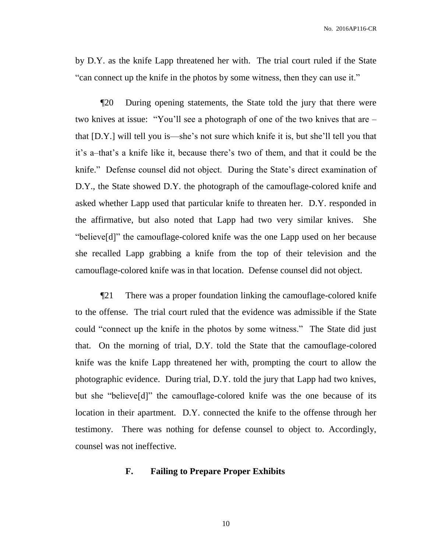by D.Y. as the knife Lapp threatened her with. The trial court ruled if the State "can connect up the knife in the photos by some witness, then they can use it."

¶20 During opening statements, the State told the jury that there were two knives at issue: "You'll see a photograph of one of the two knives that are – that [D.Y.] will tell you is—she's not sure which knife it is, but she'll tell you that it's a–that's a knife like it, because there's two of them, and that it could be the knife." Defense counsel did not object. During the State's direct examination of D.Y., the State showed D.Y. the photograph of the camouflage-colored knife and asked whether Lapp used that particular knife to threaten her. D.Y. responded in the affirmative, but also noted that Lapp had two very similar knives. She "believe[d]" the camouflage-colored knife was the one Lapp used on her because she recalled Lapp grabbing a knife from the top of their television and the camouflage-colored knife was in that location. Defense counsel did not object.

¶21 There was a proper foundation linking the camouflage-colored knife to the offense. The trial court ruled that the evidence was admissible if the State could "connect up the knife in the photos by some witness." The State did just that. On the morning of trial, D.Y. told the State that the camouflage-colored knife was the knife Lapp threatened her with, prompting the court to allow the photographic evidence. During trial, D.Y. told the jury that Lapp had two knives, but she "believe[d]" the camouflage-colored knife was the one because of its location in their apartment. D.Y. connected the knife to the offense through her testimony. There was nothing for defense counsel to object to. Accordingly, counsel was not ineffective.

#### **F. Failing to Prepare Proper Exhibits**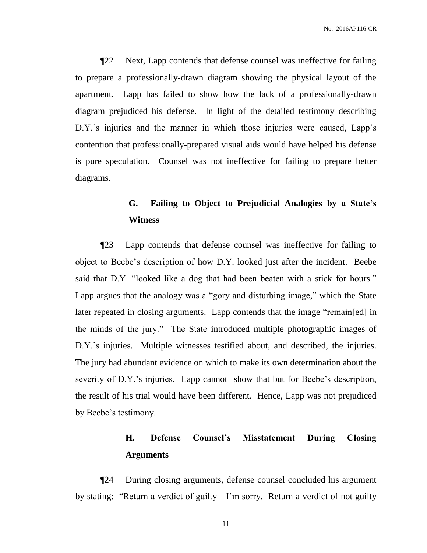¶22 Next, Lapp contends that defense counsel was ineffective for failing to prepare a professionally-drawn diagram showing the physical layout of the apartment. Lapp has failed to show how the lack of a professionally-drawn diagram prejudiced his defense. In light of the detailed testimony describing D.Y.'s injuries and the manner in which those injuries were caused, Lapp's contention that professionally-prepared visual aids would have helped his defense is pure speculation. Counsel was not ineffective for failing to prepare better diagrams.

# **G. Failing to Object to Prejudicial Analogies by a State's Witness**

¶23 Lapp contends that defense counsel was ineffective for failing to object to Beebe's description of how D.Y. looked just after the incident. Beebe said that D.Y. "looked like a dog that had been beaten with a stick for hours." Lapp argues that the analogy was a "gory and disturbing image," which the State later repeated in closing arguments. Lapp contends that the image "remain[ed] in the minds of the jury." The State introduced multiple photographic images of D.Y.'s injuries. Multiple witnesses testified about, and described, the injuries. The jury had abundant evidence on which to make its own determination about the severity of D.Y.'s injuries. Lapp cannot show that but for Beebe's description, the result of his trial would have been different. Hence, Lapp was not prejudiced by Beebe's testimony.

# **H. Defense Counsel's Misstatement During Closing Arguments**

¶24 During closing arguments, defense counsel concluded his argument by stating: "Return a verdict of guilty—I'm sorry. Return a verdict of not guilty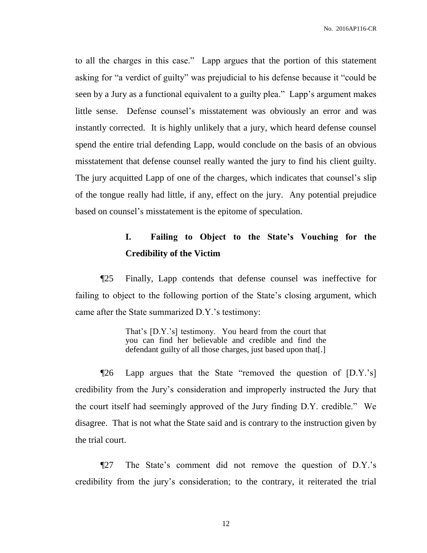to all the charges in this case." Lapp argues that the portion of this statement asking for "a verdict of guilty" was prejudicial to his defense because it "could be seen by a Jury as a functional equivalent to a guilty plea." Lapp's argument makes little sense. Defense counsel's misstatement was obviously an error and was instantly corrected. It is highly unlikely that a jury, which heard defense counsel spend the entire trial defending Lapp, would conclude on the basis of an obvious misstatement that defense counsel really wanted the jury to find his client guilty. The jury acquitted Lapp of one of the charges, which indicates that counsel's slip of the tongue really had little, if any, effect on the jury. Any potential prejudice based on counsel's misstatement is the epitome of speculation.

# **I. Failing to Object to the State's Vouching for the Credibility of the Victim**

¶25 Finally, Lapp contends that defense counsel was ineffective for failing to object to the following portion of the State's closing argument, which came after the State summarized D.Y.'s testimony:

> That's [D.Y.'s] testimony. You heard from the court that you can find her believable and credible and find the defendant guilty of all those charges, just based upon that[.]

¶26 Lapp argues that the State "removed the question of [D.Y.'s] credibility from the Jury's consideration and improperly instructed the Jury that the court itself had seemingly approved of the Jury finding D.Y. credible." We disagree. That is not what the State said and is contrary to the instruction given by the trial court.

¶27 The State's comment did not remove the question of D.Y.'s credibility from the jury's consideration; to the contrary, it reiterated the trial